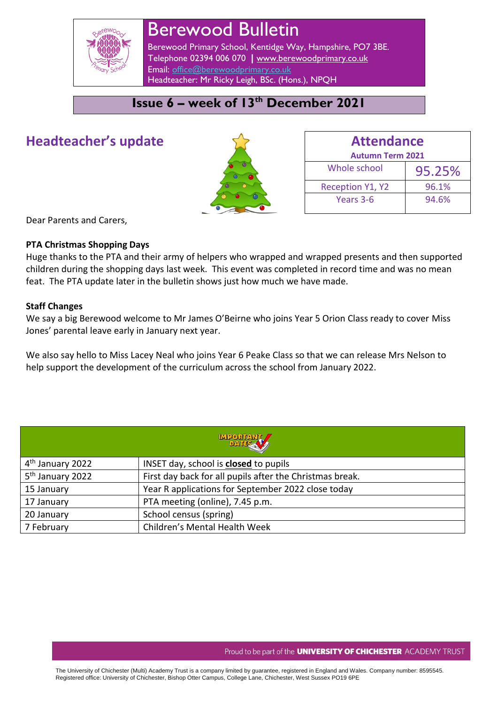

# Berewood Bulletin

Berewood Primary School, Kentidge Way, Hampshire, PO7 3BE. Telephone 02394 006 070 **|** [www.berewoodprimary.co.uk](http://www.berewoodprimary.co.uk/) Email: [office@berewoodprimary.co.uk](mailto:office@berewoodprimary.co.uk) Headteacher: Mr Ricky Leigh, BSc. (Hons.), NPQH

# **Issue 6 – week of 13th December 2021**

# **Headteacher's update**



| <b>Attendance</b>       |        |  |  |  |
|-------------------------|--------|--|--|--|
| <b>Autumn Term 2021</b> |        |  |  |  |
| Whole school            | 95.25% |  |  |  |
| <b>Reception Y1, Y2</b> | 96.1%  |  |  |  |
| Years 3-6               | 94.6%  |  |  |  |

Dear Parents and Carers,

### **PTA Christmas Shopping Days**

Huge thanks to the PTA and their army of helpers who wrapped and wrapped presents and then supported children during the shopping days last week. This event was completed in record time and was no mean feat. The PTA update later in the bulletin shows just how much we have made.

### **Staff Changes**

We say a big Berewood welcome to Mr James O'Beirne who joins Year 5 Orion Class ready to cover Miss Jones' parental leave early in January next year.

We also say hello to Miss Lacey Neal who joins Year 6 Peake Class so that we can release Mrs Nelson to help support the development of the curriculum across the school from January 2022.

| <b>MPORTANT</b>              |                                                          |  |  |  |
|------------------------------|----------------------------------------------------------|--|--|--|
| 4 <sup>th</sup> January 2022 | INSET day, school is <b>closed</b> to pupils             |  |  |  |
| 5 <sup>th</sup> January 2022 | First day back for all pupils after the Christmas break. |  |  |  |
| 15 January                   | Year R applications for September 2022 close today       |  |  |  |
| 17 January                   | PTA meeting (online), 7.45 p.m.                          |  |  |  |
| 20 January                   | School census (spring)                                   |  |  |  |
| 7 February                   | Children's Mental Health Week                            |  |  |  |

#### Proud to be part of the **UNIVERSITY OF CHICHESTER** ACADEMY TRUST

The University of Chichester (Multi) Academy Trust is a company limited by guarantee, registered in England and Wales. Company number: 8595545. Registered office: University of Chichester, Bishop Otter Campus, College Lane, Chichester, West Sussex PO19 6PE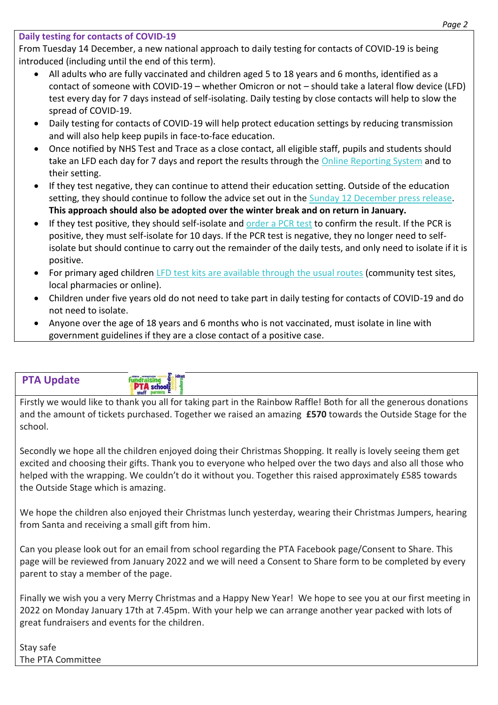# **Daily testing for contacts of COVID-19**

From Tuesday 14 December, a new national approach to daily testing for contacts of COVID-19 is being introduced (including until the end of this term).

- All adults who are fully vaccinated and children aged 5 to 18 years and 6 months, identified as a contact of someone with COVID-19 – whether Omicron or not – should take a lateral flow device (LFD) test every day for 7 days instead of self-isolating. Daily testing by close contacts will help to slow the spread of COVID-19.
- Daily testing for contacts of COVID-19 will help protect education settings by reducing transmission and will also help keep pupils in face-to-face education.
- Once notified by NHS Test and Trace as a close contact, all eligible staff, pupils and students should take an LFD each day for 7 days and report the results through the Online [Reporting](https://www.gov.uk/report-covid19-result?utm_source=13%20December%202021%20C19&utm_medium=Daily%20Email%20C19&utm_campaign=DfE%20C19) System and to their setting.
- If they test negative, they can continue to attend their education setting. Outside of the education setting, they should continue to follow the advice set out in the Sunday 12 [December](https://www.gov.uk/government/news/daily-rapid-testing-for-covid-19-contacts-launches-this-week?utm_source=13%20December%202021%20C19&utm_medium=Daily%20Email%20C19&utm_campaign=DfE%20C19) press release. **This approach should also be adopted over the winter break and on return in January.**
- If they test positive, they should self-isolate and [order](https://www.gov.uk/get-coronavirus-test?utm_source=13%20December%202021%20C19&utm_medium=Daily%20Email%20C19&utm_campaign=DfE%20C19) a PCR test to confirm the result. If the PCR is positive, they must self-isolate for 10 days. If the PCR test is negative, they no longer need to selfisolate but should continue to carry out the remainder of the daily tests, and only need to isolate if it is positive.
- For primary aged children LFD test kits are [available](https://www.gov.uk/order-coronavirus-rapid-lateral-flow-tests?utm_source=13%20December%202021%20C19&utm_medium=Daily%20Email%20C19&utm_campaign=DfE%20C19) through the usual routes (community test sites, local pharmacies or online).
- Children under five years old do not need to take part in daily testing for contacts of COVID-19 and do not need to isolate.
- Anyone over the age of 18 years and 6 months who is not vaccinated, must isolate in line with government guidelines if they are a close contact of a positive case.

| <b><i>Exercise Systems</i></b> | , ideas<br>- 600-1600<br><b>E</b> staff parent |  |
|--------------------------------|------------------------------------------------|--|
|--------------------------------|------------------------------------------------|--|

Firstly we would like to thank you all for taking part in the Rainbow Raffle! Both for all the generous donations and the amount of tickets purchased. Together we raised an amazing **£570** towards the Outside Stage for the school.

Secondly we hope all the children enjoyed doing their Christmas Shopping. It really is lovely seeing them get excited and choosing their gifts. Thank you to everyone who helped over the two days and also all those who helped with the wrapping. We couldn't do it without you. Together this raised approximately £585 towards the Outside Stage which is amazing.

We hope the children also enjoyed their Christmas lunch yesterday, wearing their Christmas Jumpers, hearing from Santa and receiving a small gift from him.

Can you please look out for an email from school regarding the PTA Facebook page/Consent to Share. This page will be reviewed from January 2022 and we will need a Consent to Share form to be completed by every parent to stay a member of the page.

Finally we wish you a very Merry Christmas and a Happy New Year! We hope to see you at our first meeting in 2022 on Monday January 17th at 7.45pm. With your help we can arrange another year packed with lots of great fundraisers and events for the children.

Stay safe The PTA Committee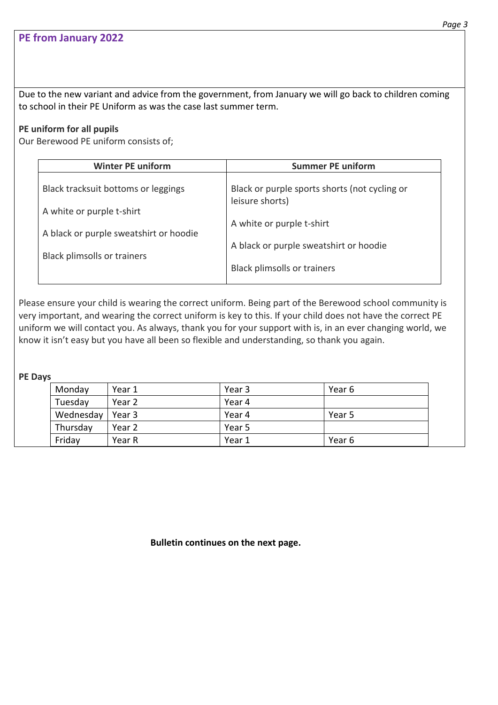Due to the new variant and advice from the government, from January we will go back to children coming to school in their PE Uniform as was the case last summer term.

## **PE uniform for all pupils**

Our Berewood PE uniform consists of;

| <b>Winter PE uniform</b>                                         | <b>Summer PE uniform</b>                                         |
|------------------------------------------------------------------|------------------------------------------------------------------|
| Black tracksuit bottoms or leggings<br>A white or purple t-shirt | Black or purple sports shorts (not cycling or<br>leisure shorts) |
| A black or purple sweatshirt or hoodie                           | A white or purple t-shirt                                        |
| <b>Black plimsolls or trainers</b>                               | A black or purple sweatshirt or hoodie                           |
|                                                                  | <b>Black plimsolls or trainers</b>                               |

Please ensure your child is wearing the correct uniform. Being part of the Berewood school community is very important, and wearing the correct uniform is key to this. If your child does not have the correct PE uniform we will contact you. As always, thank you for your support with is, in an ever changing world, we know it isn't easy but you have all been so flexible and understanding, so thank you again.

**PE Days**

| Monday    | Year 1 | Year 3 | Year 6 |
|-----------|--------|--------|--------|
| Tuesday   | Year 2 | Year 4 |        |
| Wednesday | Year 3 | Year 4 | Year 5 |
| Thursday  | Year 2 | Year 5 |        |
| Friday    | Year R | Year 1 | Year 6 |

**Bulletin continues on the next page.**